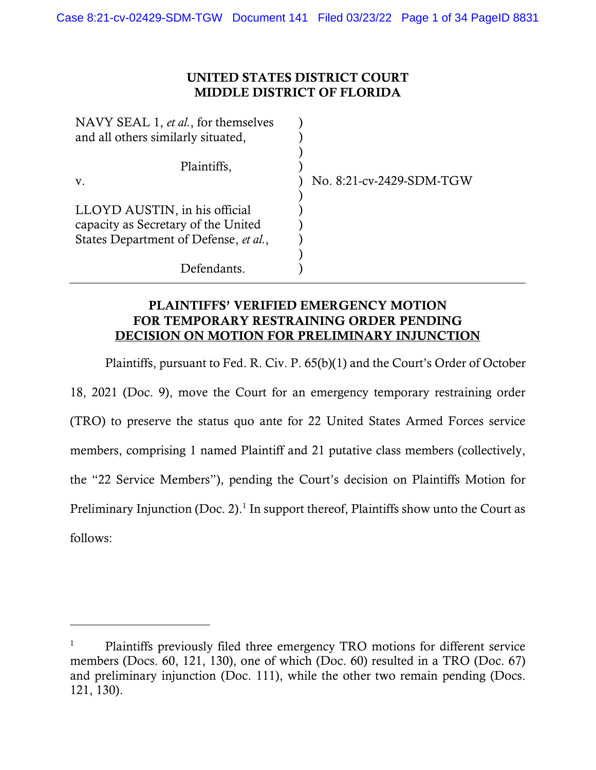#### UNITED STATES DISTRICT COURT MIDDLE DISTRICT OF FLORIDA

| NAVY SEAL 1, et al., for themselves   |                          |
|---------------------------------------|--------------------------|
| and all others similarly situated,    |                          |
|                                       |                          |
| Plaintiffs,                           |                          |
| V.                                    | No. 8:21-cv-2429-SDM-TGW |
|                                       |                          |
| LLOYD AUSTIN, in his official         |                          |
| capacity as Secretary of the United   |                          |
| States Department of Defense, et al., |                          |
|                                       |                          |
| Defendants.                           |                          |

## PLAINTIFFS' VERIFIED EMERGENCY MOTION FOR TEMPORARY RESTRAINING ORDER PENDING DECISION ON MOTION FOR PRELIMINARY INJUNCTION

Plaintiffs, pursuant to Fed. R. Civ. P. 65(b)(1) and the Court's Order of October 18, 2021 (Doc. 9), move the Court for an emergency temporary restraining order (TRO) to preserve the status quo ante for 22 United States Armed Forces service members, comprising 1 named Plaintiff and 21 putative class members (collectively, the "22 Service Members"), pending the Court's decision on Plaintiffs Motion for Preliminary Injunction (Doc. 2).<sup>1</sup> In support thereof, Plaintiffs show unto the Court as follows:

<sup>&</sup>lt;sup>1</sup> Plaintiffs previously filed three emergency TRO motions for different service members (Docs. 60, 121, 130), one of which (Doc. 60) resulted in a TRO (Doc. 67) and preliminary injunction (Doc. 111), while the other two remain pending (Docs. 121, 130).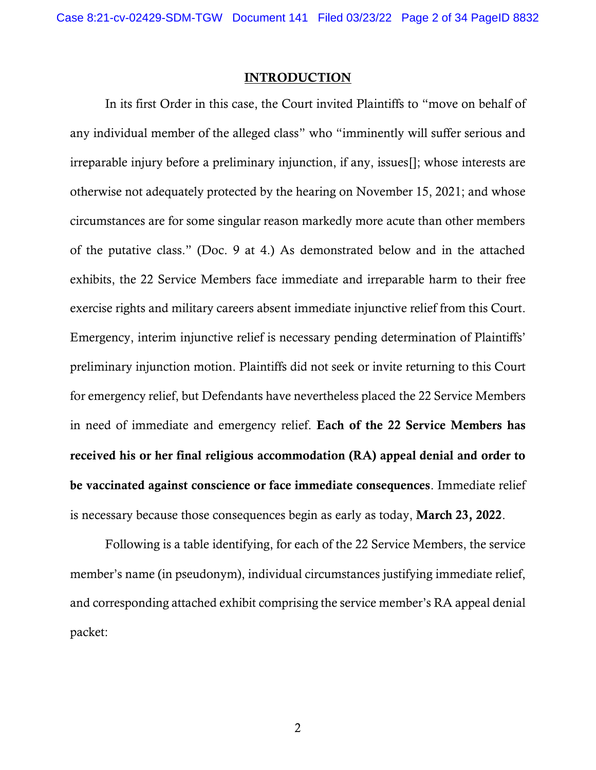#### INTRODUCTION

In its first Order in this case, the Court invited Plaintiffs to "move on behalf of any individual member of the alleged class" who "imminently will suffer serious and irreparable injury before a preliminary injunction, if any, issues[]; whose interests are otherwise not adequately protected by the hearing on November 15, 2021; and whose circumstances are for some singular reason markedly more acute than other members of the putative class." (Doc. 9 at 4.) As demonstrated below and in the attached exhibits, the 22 Service Members face immediate and irreparable harm to their free exercise rights and military careers absent immediate injunctive relief from this Court. Emergency, interim injunctive relief is necessary pending determination of Plaintiffs' preliminary injunction motion. Plaintiffs did not seek or invite returning to this Court for emergency relief, but Defendants have nevertheless placed the 22 Service Members in need of immediate and emergency relief. Each of the 22 Service Members has received his or her final religious accommodation (RA) appeal denial and order to be vaccinated against conscience or face immediate consequences. Immediate relief is necessary because those consequences begin as early as today, March 23, 2022.

Following is a table identifying, for each of the 22 Service Members, the service member's name (in pseudonym), individual circumstances justifying immediate relief, and corresponding attached exhibit comprising the service member's RA appeal denial packet: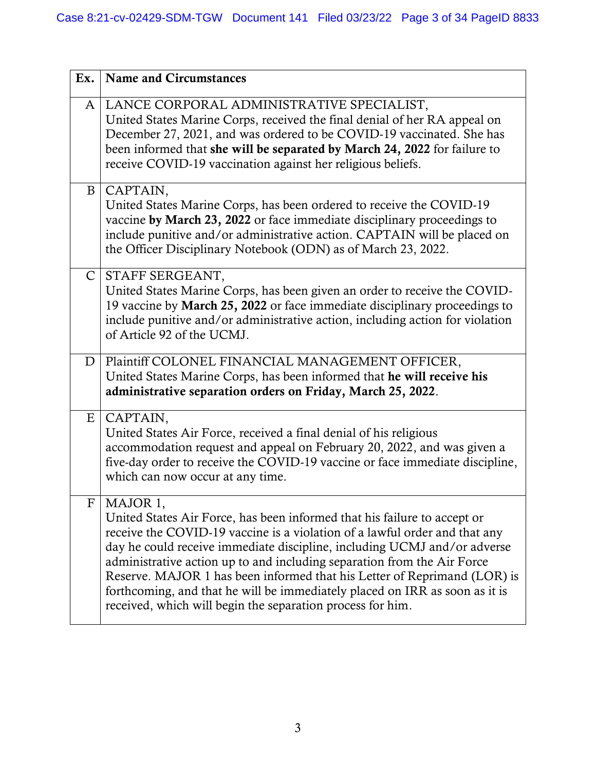| Ex.            | <b>Name and Circumstances</b>                                                                                                                                                                                                                                                                                                                                                                                                                                                                                                                            |
|----------------|----------------------------------------------------------------------------------------------------------------------------------------------------------------------------------------------------------------------------------------------------------------------------------------------------------------------------------------------------------------------------------------------------------------------------------------------------------------------------------------------------------------------------------------------------------|
|                | A   LANCE CORPORAL ADMINISTRATIVE SPECIALIST,<br>United States Marine Corps, received the final denial of her RA appeal on<br>December 27, 2021, and was ordered to be COVID-19 vaccinated. She has<br>been informed that she will be separated by March 24, 2022 for failure to<br>receive COVID-19 vaccination against her religious beliefs.                                                                                                                                                                                                          |
| B              | CAPTAIN,<br>United States Marine Corps, has been ordered to receive the COVID-19<br>vaccine by March 23, 2022 or face immediate disciplinary proceedings to<br>include punitive and/or administrative action. CAPTAIN will be placed on<br>the Officer Disciplinary Notebook (ODN) as of March 23, 2022.                                                                                                                                                                                                                                                 |
| $\mathsf{C}$   | STAFF SERGEANT,<br>United States Marine Corps, has been given an order to receive the COVID-<br>19 vaccine by March 25, 2022 or face immediate disciplinary proceedings to<br>include punitive and/or administrative action, including action for violation<br>of Article 92 of the UCMJ.                                                                                                                                                                                                                                                                |
| D <sub>1</sub> | Plaintiff COLONEL FINANCIAL MANAGEMENT OFFICER,<br>United States Marine Corps, has been informed that he will receive his<br>administrative separation orders on Friday, March 25, 2022.                                                                                                                                                                                                                                                                                                                                                                 |
| E <sub>1</sub> | CAPTAIN,<br>United States Air Force, received a final denial of his religious<br>accommodation request and appeal on February 20, 2022, and was given a<br>five-day order to receive the COVID-19 vaccine or face immediate discipline,<br>which can now occur at any time.                                                                                                                                                                                                                                                                              |
|                | $F$   MAJOR 1,<br>United States Air Force, has been informed that his failure to accept or<br>receive the COVID-19 vaccine is a violation of a lawful order and that any<br>day he could receive immediate discipline, including UCMJ and/or adverse<br>administrative action up to and including separation from the Air Force<br>Reserve. MAJOR 1 has been informed that his Letter of Reprimand (LOR) is<br>forthcoming, and that he will be immediately placed on IRR as soon as it is<br>received, which will begin the separation process for him. |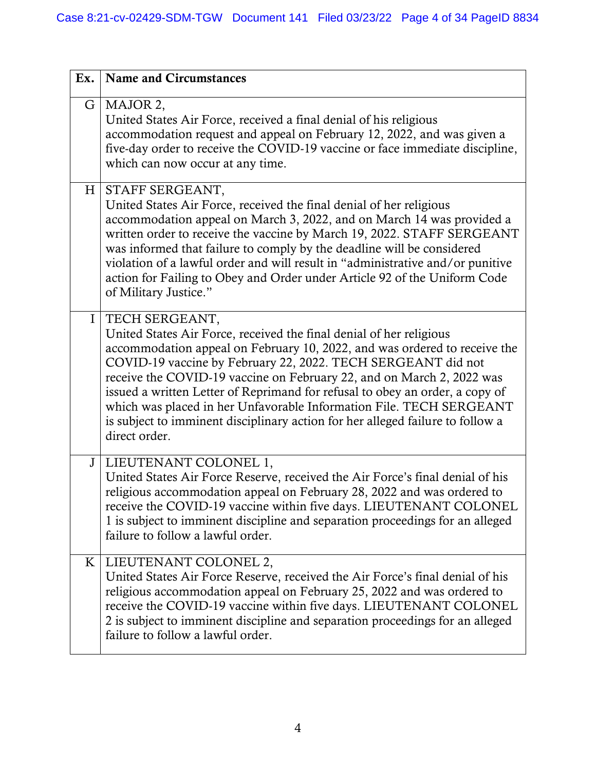| Ex.            | <b>Name and Circumstances</b>                                                                                                                                                                                                                                                                                                                                                                                                                                                                                                                                         |
|----------------|-----------------------------------------------------------------------------------------------------------------------------------------------------------------------------------------------------------------------------------------------------------------------------------------------------------------------------------------------------------------------------------------------------------------------------------------------------------------------------------------------------------------------------------------------------------------------|
|                | G   MAJOR 2,<br>United States Air Force, received a final denial of his religious<br>accommodation request and appeal on February 12, 2022, and was given a<br>five-day order to receive the COVID-19 vaccine or face immediate discipline,<br>which can now occur at any time.                                                                                                                                                                                                                                                                                       |
| H <sub>1</sub> | STAFF SERGEANT,<br>United States Air Force, received the final denial of her religious<br>accommodation appeal on March 3, 2022, and on March 14 was provided a<br>written order to receive the vaccine by March 19, 2022. STAFF SERGEANT<br>was informed that failure to comply by the deadline will be considered<br>violation of a lawful order and will result in "administrative and/or punitive<br>action for Failing to Obey and Order under Article 92 of the Uniform Code<br>of Military Justice."                                                           |
| $\mathbf{I}$   | TECH SERGEANT,<br>United States Air Force, received the final denial of her religious<br>accommodation appeal on February 10, 2022, and was ordered to receive the<br>COVID-19 vaccine by February 22, 2022. TECH SERGEANT did not<br>receive the COVID-19 vaccine on February 22, and on March 2, 2022 was<br>issued a written Letter of Reprimand for refusal to obey an order, a copy of<br>which was placed in her Unfavorable Information File. TECH SERGEANT<br>is subject to imminent disciplinary action for her alleged failure to follow a<br>direct order. |
|                | J   LIEUTENANT COLONEL 1,<br>United States Air Force Reserve, received the Air Force's final denial of his<br>religious accommodation appeal on February 28, 2022 and was ordered to<br>receive the COVID-19 vaccine within five days. LIEUTENANT COLONEL<br>1 is subject to imminent discipline and separation proceedings for an alleged<br>failure to follow a lawful order.                                                                                                                                                                                       |
|                | K   LIEUTENANT COLONEL 2,<br>United States Air Force Reserve, received the Air Force's final denial of his<br>religious accommodation appeal on February 25, 2022 and was ordered to<br>receive the COVID-19 vaccine within five days. LIEUTENANT COLONEL<br>2 is subject to imminent discipline and separation proceedings for an alleged<br>failure to follow a lawful order.                                                                                                                                                                                       |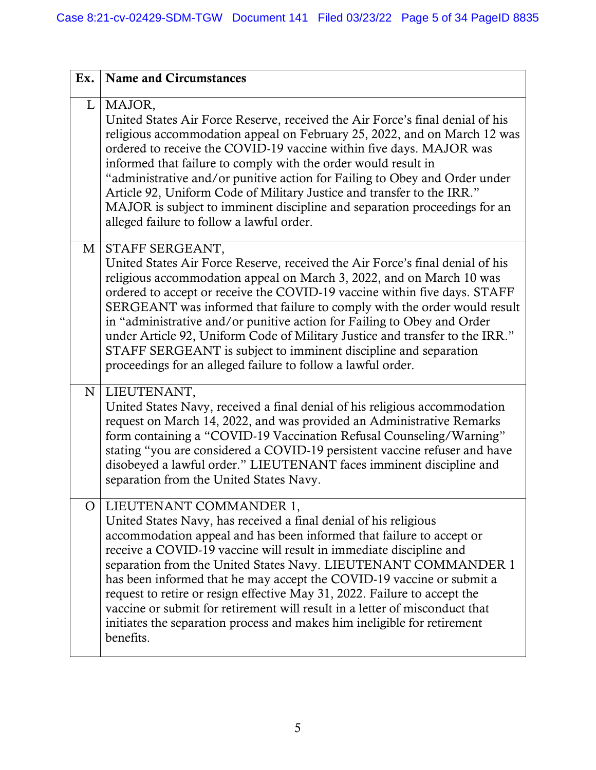| Ex.            | <b>Name and Circumstances</b>                                                                                                                                                                                                                                                                                                                                                                                                                                                                                                                                                                                                             |
|----------------|-------------------------------------------------------------------------------------------------------------------------------------------------------------------------------------------------------------------------------------------------------------------------------------------------------------------------------------------------------------------------------------------------------------------------------------------------------------------------------------------------------------------------------------------------------------------------------------------------------------------------------------------|
|                | L   MAJOR,<br>United States Air Force Reserve, received the Air Force's final denial of his<br>religious accommodation appeal on February 25, 2022, and on March 12 was<br>ordered to receive the COVID-19 vaccine within five days. MAJOR was<br>informed that failure to comply with the order would result in<br>"administrative and/or punitive action for Failing to Obey and Order under<br>Article 92, Uniform Code of Military Justice and transfer to the IRR."<br>MAJOR is subject to imminent discipline and separation proceedings for an<br>alleged failure to follow a lawful order.                                        |
| M              | STAFF SERGEANT,<br>United States Air Force Reserve, received the Air Force's final denial of his<br>religious accommodation appeal on March 3, 2022, and on March 10 was<br>ordered to accept or receive the COVID-19 vaccine within five days. STAFF<br>SERGEANT was informed that failure to comply with the order would result<br>in "administrative and/or punitive action for Failing to Obey and Order<br>under Article 92, Uniform Code of Military Justice and transfer to the IRR."<br>STAFF SERGEANT is subject to imminent discipline and separation<br>proceedings for an alleged failure to follow a lawful order.           |
| N <sub>1</sub> | LIEUTENANT,<br>United States Navy, received a final denial of his religious accommodation<br>request on March 14, 2022, and was provided an Administrative Remarks<br>form containing a "COVID-19 Vaccination Refusal Counseling/Warning"<br>stating "you are considered a COVID-19 persistent vaccine refuser and have<br>disobeyed a lawful order." LIEUTENANT faces imminent discipline and<br>separation from the United States Navy.                                                                                                                                                                                                 |
| O              | LIEUTENANT COMMANDER 1,<br>United States Navy, has received a final denial of his religious<br>accommodation appeal and has been informed that failure to accept or<br>receive a COVID-19 vaccine will result in immediate discipline and<br>separation from the United States Navy. LIEUTENANT COMMANDER 1<br>has been informed that he may accept the COVID-19 vaccine or submit a<br>request to retire or resign effective May 31, 2022. Failure to accept the<br>vaccine or submit for retirement will result in a letter of misconduct that<br>initiates the separation process and makes him ineligible for retirement<br>benefits. |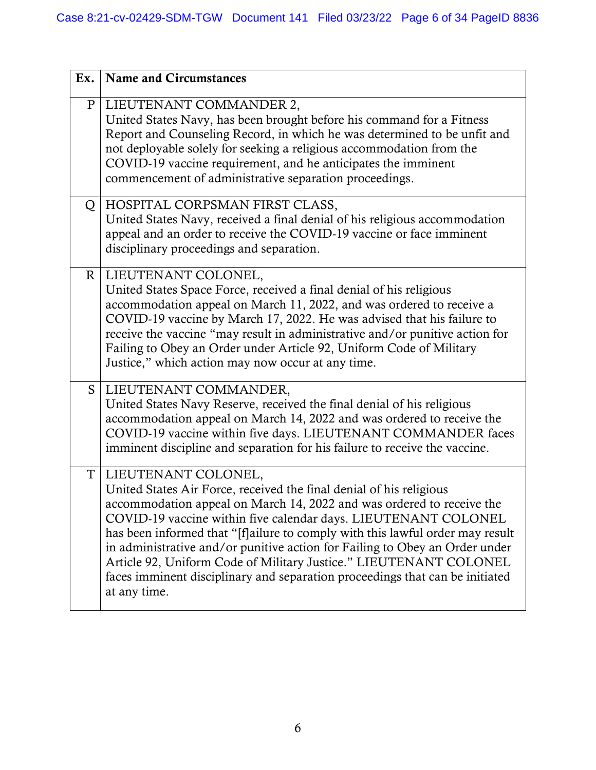| Ex.            | <b>Name and Circumstances</b>                                                                                                                                                                                                                                                                                                                                                                                                                                                                                                                                                  |
|----------------|--------------------------------------------------------------------------------------------------------------------------------------------------------------------------------------------------------------------------------------------------------------------------------------------------------------------------------------------------------------------------------------------------------------------------------------------------------------------------------------------------------------------------------------------------------------------------------|
| P <sub>1</sub> | LIEUTENANT COMMANDER 2,<br>United States Navy, has been brought before his command for a Fitness<br>Report and Counseling Record, in which he was determined to be unfit and<br>not deployable solely for seeking a religious accommodation from the<br>COVID-19 vaccine requirement, and he anticipates the imminent<br>commencement of administrative separation proceedings.                                                                                                                                                                                                |
| Q              | HOSPITAL CORPSMAN FIRST CLASS,<br>United States Navy, received a final denial of his religious accommodation<br>appeal and an order to receive the COVID-19 vaccine or face imminent<br>disciplinary proceedings and separation.                                                                                                                                                                                                                                                                                                                                               |
|                | R   LIEUTENANT COLONEL,<br>United States Space Force, received a final denial of his religious<br>accommodation appeal on March 11, 2022, and was ordered to receive a<br>COVID-19 vaccine by March 17, 2022. He was advised that his failure to<br>receive the vaccine "may result in administrative and/or punitive action for<br>Failing to Obey an Order under Article 92, Uniform Code of Military<br>Justice," which action may now occur at any time.                                                                                                                   |
| $S_{-}$        | LIEUTENANT COMMANDER,<br>United States Navy Reserve, received the final denial of his religious<br>accommodation appeal on March 14, 2022 and was ordered to receive the<br>COVID-19 vaccine within five days. LIEUTENANT COMMANDER faces<br>imminent discipline and separation for his failure to receive the vaccine.                                                                                                                                                                                                                                                        |
|                | T   LIEUTENANT COLONEL,<br>United States Air Force, received the final denial of his religious<br>accommodation appeal on March 14, 2022 and was ordered to receive the<br>COVID-19 vaccine within five calendar days. LIEUTENANT COLONEL<br>has been informed that "[f]ailure to comply with this lawful order may result<br>in administrative and/or punitive action for Failing to Obey an Order under<br>Article 92, Uniform Code of Military Justice." LIEUTENANT COLONEL<br>faces imminent disciplinary and separation proceedings that can be initiated<br>at any time. |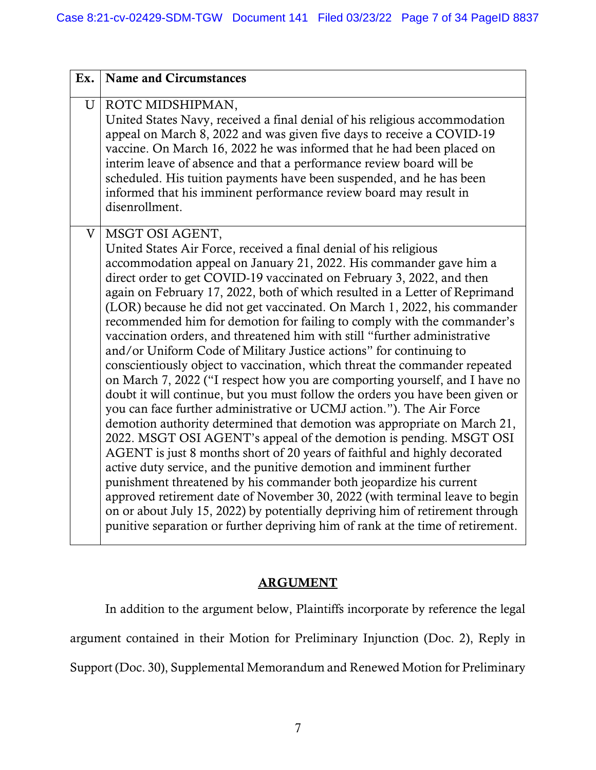| Ex. | <b>Name and Circumstances</b>                                                                                                                                                                                                                                                                                                                                                                                                                                                                                                                                                                                                                                                                                                                                                                                                                                                                                                                                                                                                                                                                                                                                                                                                                                                                                                                                                                                                                                                                                                                                                     |
|-----|-----------------------------------------------------------------------------------------------------------------------------------------------------------------------------------------------------------------------------------------------------------------------------------------------------------------------------------------------------------------------------------------------------------------------------------------------------------------------------------------------------------------------------------------------------------------------------------------------------------------------------------------------------------------------------------------------------------------------------------------------------------------------------------------------------------------------------------------------------------------------------------------------------------------------------------------------------------------------------------------------------------------------------------------------------------------------------------------------------------------------------------------------------------------------------------------------------------------------------------------------------------------------------------------------------------------------------------------------------------------------------------------------------------------------------------------------------------------------------------------------------------------------------------------------------------------------------------|
| U   | ROTC MIDSHIPMAN,<br>United States Navy, received a final denial of his religious accommodation<br>appeal on March 8, 2022 and was given five days to receive a COVID-19<br>vaccine. On March 16, 2022 he was informed that he had been placed on<br>interim leave of absence and that a performance review board will be<br>scheduled. His tuition payments have been suspended, and he has been<br>informed that his imminent performance review board may result in<br>disenrollment.                                                                                                                                                                                                                                                                                                                                                                                                                                                                                                                                                                                                                                                                                                                                                                                                                                                                                                                                                                                                                                                                                           |
| V   | MSGT OSI AGENT,<br>United States Air Force, received a final denial of his religious<br>accommodation appeal on January 21, 2022. His commander gave him a<br>direct order to get COVID-19 vaccinated on February 3, 2022, and then<br>again on February 17, 2022, both of which resulted in a Letter of Reprimand<br>(LOR) because he did not get vaccinated. On March 1, 2022, his commander<br>recommended him for demotion for failing to comply with the commander's<br>vaccination orders, and threatened him with still "further administrative<br>and/or Uniform Code of Military Justice actions" for continuing to<br>conscientiously object to vaccination, which threat the commander repeated<br>on March 7, 2022 ("I respect how you are comporting yourself, and I have no<br>doubt it will continue, but you must follow the orders you have been given or<br>you can face further administrative or UCMJ action."). The Air Force<br>demotion authority determined that demotion was appropriate on March 21,<br>2022. MSGT OSI AGENT's appeal of the demotion is pending. MSGT OSI<br>AGENT is just 8 months short of 20 years of faithful and highly decorated<br>active duty service, and the punitive demotion and imminent further<br>punishment threatened by his commander both jeopardize his current<br>approved retirement date of November 30, 2022 (with terminal leave to begin<br>on or about July 15, 2022) by potentially depriving him of retirement through<br>punitive separation or further depriving him of rank at the time of retirement. |

# **ARGUMENT**

In addition to the argument below, Plaintiffs incorporate by reference the legal argument contained in their Motion for Preliminary Injunction (Doc. 2), Reply in Support (Doc. 30), Supplemental Memorandum and Renewed Motion for Preliminary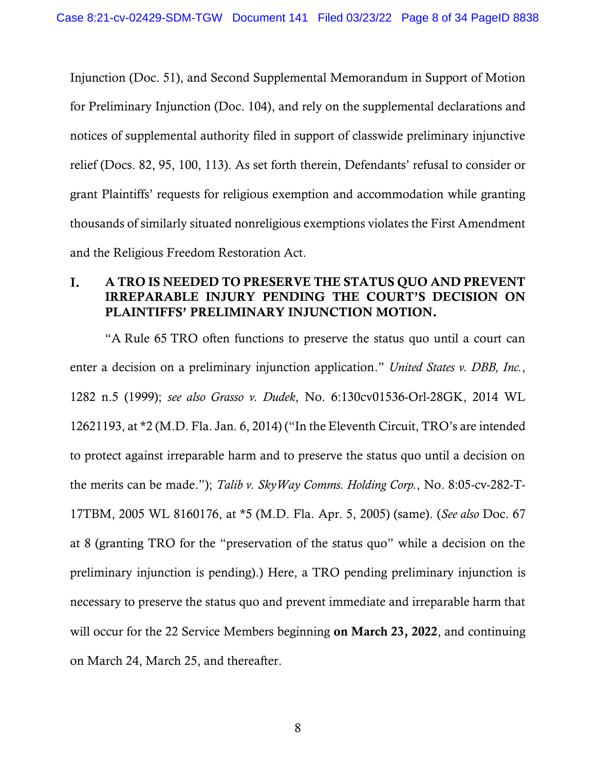Injunction (Doc. 51), and Second Supplemental Memorandum in Support of Motion for Preliminary Injunction (Doc. 104), and rely on the supplemental declarations and notices of supplemental authority filed in support of classwide preliminary injunctive relief (Docs. 82, 95, 100, 113). As set forth therein, Defendants' refusal to consider or grant Plaintiffs' requests for religious exemption and accommodation while granting thousands of similarly situated nonreligious exemptions violates the First Amendment and the Religious Freedom Restoration Act.

#### A TRO IS NEEDED TO PRESERVE THE STATUS QUO AND PREVENT I. IRREPARABLE INJURY PENDING THE COURT'S DECISION ON PLAINTIFFS' PRELIMINARY INJUNCTION MOTION.

"A Rule 65 TRO often functions to preserve the status quo until a court can enter a decision on a preliminary injunction application." *United States v. DBB, Inc.*, 1282 n.5 (1999); *see also Grasso v. Dudek*, No. 6:130cv01536-Orl-28GK, 2014 WL 12621193, at \*2 (M.D. Fla. Jan. 6, 2014) ("In the Eleventh Circuit, TRO's are intended to protect against irreparable harm and to preserve the status quo until a decision on the merits can be made."); *Talib v. SkyWay Comms. Holding Corp.*, No. 8:05-cv-282-T-17TBM, 2005 WL 8160176, at \*5 (M.D. Fla. Apr. 5, 2005) (same). (*See also* Doc. 67 at 8 (granting TRO for the "preservation of the status quo" while a decision on the preliminary injunction is pending).) Here, a TRO pending preliminary injunction is necessary to preserve the status quo and prevent immediate and irreparable harm that will occur for the 22 Service Members beginning on March 23, 2022, and continuing on March 24, March 25, and thereafter.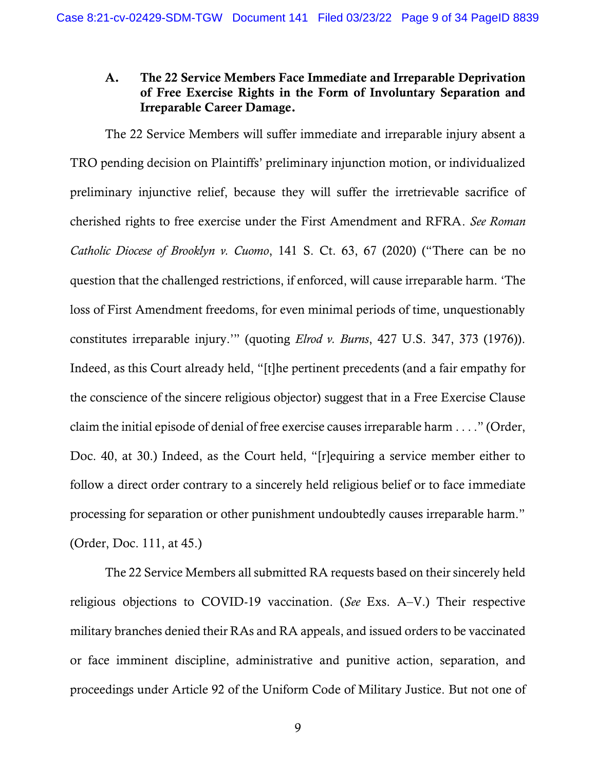### A. The 22 Service Members Face Immediate and Irreparable Deprivation of Free Exercise Rights in the Form of Involuntary Separation and Irreparable Career Damage.

The 22 Service Members will suffer immediate and irreparable injury absent a TRO pending decision on Plaintiffs' preliminary injunction motion, or individualized preliminary injunctive relief, because they will suffer the irretrievable sacrifice of cherished rights to free exercise under the First Amendment and RFRA. *See Roman Catholic Diocese of Brooklyn v. Cuomo*, 141 S. Ct. 63, 67 (2020) ("There can be no question that the challenged restrictions, if enforced, will cause irreparable harm. 'The loss of First Amendment freedoms, for even minimal periods of time, unquestionably constitutes irreparable injury.'" (quoting *Elrod v. Burns*, 427 U.S. 347, 373 (1976)). Indeed, as this Court already held, "[t]he pertinent precedents (and a fair empathy for the conscience of the sincere religious objector) suggest that in a Free Exercise Clause claim the initial episode of denial of free exercise causes irreparable harm . . . ." (Order, Doc. 40, at 30.) Indeed, as the Court held, "[r]equiring a service member either to follow a direct order contrary to a sincerely held religious belief or to face immediate processing for separation or other punishment undoubtedly causes irreparable harm." (Order, Doc. 111, at 45.)

The 22 Service Members all submitted RA requests based on their sincerely held religious objections to COVID-19 vaccination. (*See* Exs. A–V.) Their respective military branches denied their RAs and RA appeals, and issued orders to be vaccinated or face imminent discipline, administrative and punitive action, separation, and proceedings under Article 92 of the Uniform Code of Military Justice. But not one of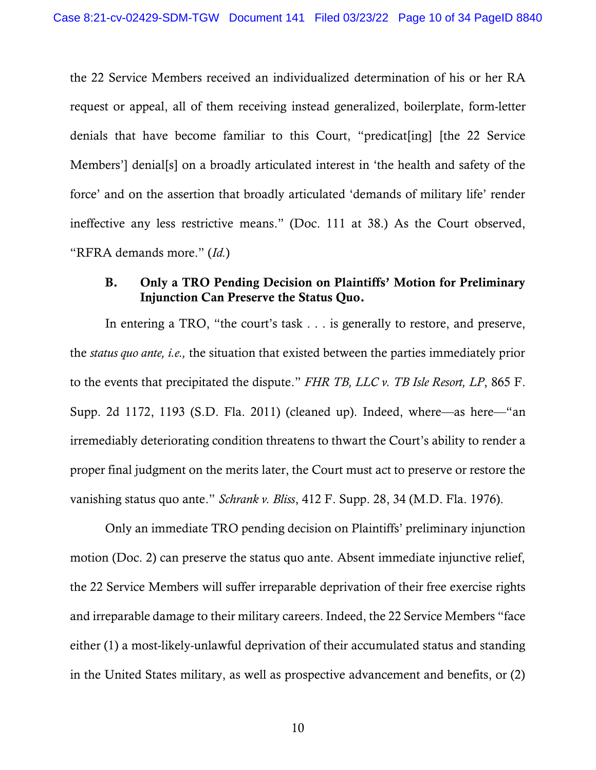the 22 Service Members received an individualized determination of his or her RA request or appeal, all of them receiving instead generalized, boilerplate, form-letter denials that have become familiar to this Court, "predicat[ing] [the 22 Service Members'] denial[s] on a broadly articulated interest in 'the health and safety of the force' and on the assertion that broadly articulated 'demands of military life' render ineffective any less restrictive means." (Doc. 111 at 38.) As the Court observed, "RFRA demands more." (*Id.*)

## B. Only a TRO Pending Decision on Plaintiffs' Motion for Preliminary Injunction Can Preserve the Status Quo.

In entering a TRO, "the court's task . . . is generally to restore, and preserve, the *status quo ante, i.e.,* the situation that existed between the parties immediately prior to the events that precipitated the dispute." *FHR TB, LLC v. TB Isle Resort, LP*, 865 F. Supp. 2d 1172, 1193 (S.D. Fla. 2011) (cleaned up). Indeed, where—as here—"an irremediably deteriorating condition threatens to thwart the Court's ability to render a proper final judgment on the merits later, the Court must act to preserve or restore the vanishing status quo ante." *Schrank v. Bliss*, 412 F. Supp. 28, 34 (M.D. Fla. 1976).

Only an immediate TRO pending decision on Plaintiffs' preliminary injunction motion (Doc. 2) can preserve the status quo ante. Absent immediate injunctive relief, the 22 Service Members will suffer irreparable deprivation of their free exercise rights and irreparable damage to their military careers. Indeed, the 22 Service Members "face either (1) a most-likely-unlawful deprivation of their accumulated status and standing in the United States military, as well as prospective advancement and benefits, or (2)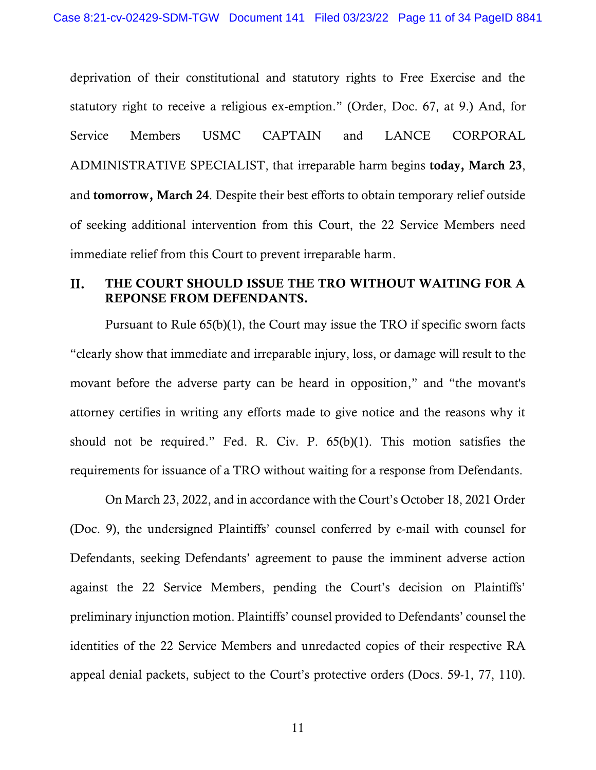deprivation of their constitutional and statutory rights to Free Exercise and the statutory right to receive a religious ex-emption." (Order, Doc. 67, at 9.) And, for Service Members USMC CAPTAIN and LANCE CORPORAL ADMINISTRATIVE SPECIALIST, that irreparable harm begins today, March 23, and tomorrow, March 24. Despite their best efforts to obtain temporary relief outside of seeking additional intervention from this Court, the 22 Service Members need immediate relief from this Court to prevent irreparable harm.

#### II. THE COURT SHOULD ISSUE THE TRO WITHOUT WAITING FOR A REPONSE FROM DEFENDANTS.

Pursuant to Rule 65(b)(1), the Court may issue the TRO if specific sworn facts "clearly show that immediate and irreparable injury, loss, or damage will result to the movant before the adverse party can be heard in opposition," and "the movant's attorney certifies in writing any efforts made to give notice and the reasons why it should not be required." Fed. R. Civ. P. 65(b)(1). This motion satisfies the requirements for issuance of a TRO without waiting for a response from Defendants.

On March 23, 2022, and in accordance with the Court's October 18, 2021 Order (Doc. 9), the undersigned Plaintiffs' counsel conferred by e-mail with counsel for Defendants, seeking Defendants' agreement to pause the imminent adverse action against the 22 Service Members, pending the Court's decision on Plaintiffs' preliminary injunction motion. Plaintiffs' counsel provided to Defendants' counsel the identities of the 22 Service Members and unredacted copies of their respective RA appeal denial packets, subject to the Court's protective orders (Docs. 59-1, 77, 110).

11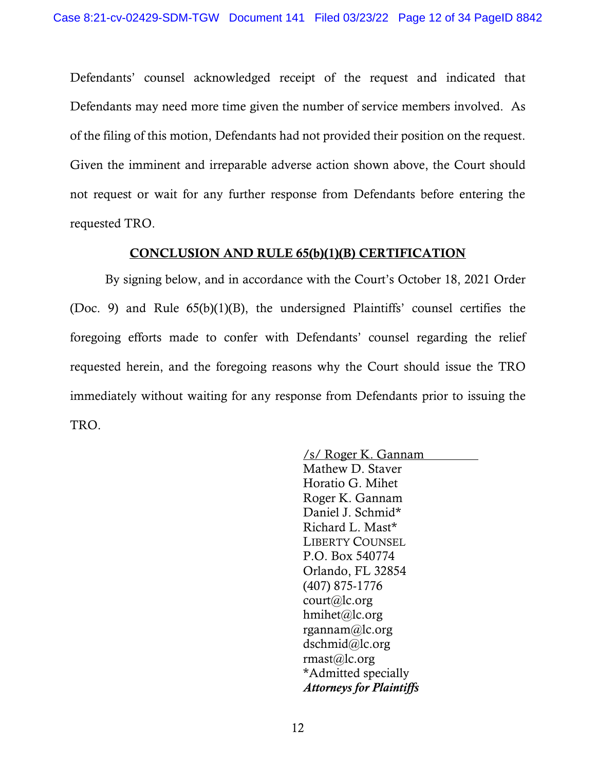Defendants' counsel acknowledged receipt of the request and indicated that Defendants may need more time given the number of service members involved. As of the filing of this motion, Defendants had not provided their position on the request. Given the imminent and irreparable adverse action shown above, the Court should not request or wait for any further response from Defendants before entering the requested TRO.

#### CONCLUSION AND RULE 65(b)(1)(B) CERTIFICATION

By signing below, and in accordance with the Court's October 18, 2021 Order (Doc. 9) and Rule 65(b)(1)(B), the undersigned Plaintiffs' counsel certifies the foregoing efforts made to confer with Defendants' counsel regarding the relief requested herein, and the foregoing reasons why the Court should issue the TRO immediately without waiting for any response from Defendants prior to issuing the TRO.

> /s/ Roger K. Gannam Mathew D. Staver Horatio G. Mihet Roger K. Gannam Daniel J. Schmid\* Richard L. Mast\* LIBERTY COUNSEL P.O. Box 540774 Orlando, FL 32854 (407) 875-1776 court@lc.org hmihet@lc.org rgannam@lc.org dschmid@lc.org rmast@lc.org \*Admitted specially *Attorneys for Plaintiffs*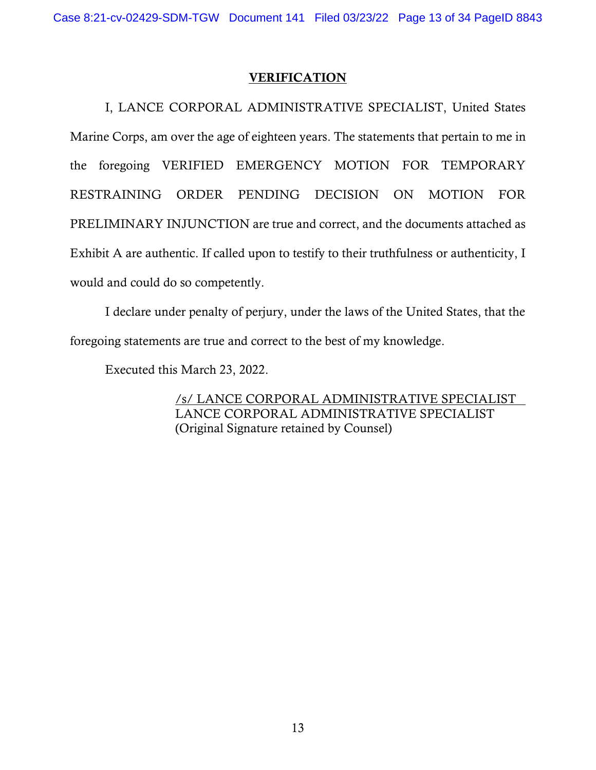I, LANCE CORPORAL ADMINISTRATIVE SPECIALIST, United States Marine Corps, am over the age of eighteen years. The statements that pertain to me in the foregoing VERIFIED EMERGENCY MOTION FOR TEMPORARY RESTRAINING ORDER PENDING DECISION ON MOTION FOR PRELIMINARY INJUNCTION are true and correct, and the documents attached as Exhibit A are authentic. If called upon to testify to their truthfulness or authenticity, I would and could do so competently.

I declare under penalty of perjury, under the laws of the United States, that the foregoing statements are true and correct to the best of my knowledge.

Executed this March 23, 2022.

/s/ LANCE CORPORAL ADMINISTRATIVE SPECIALIST LANCE CORPORAL ADMINISTRATIVE SPECIALIST (Original Signature retained by Counsel)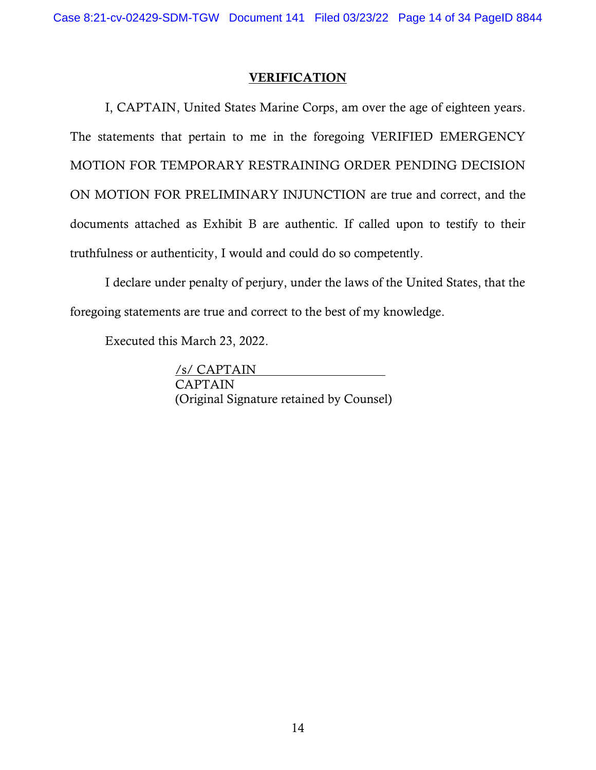I, CAPTAIN, United States Marine Corps, am over the age of eighteen years. The statements that pertain to me in the foregoing VERIFIED EMERGENCY MOTION FOR TEMPORARY RESTRAINING ORDER PENDING DECISION ON MOTION FOR PRELIMINARY INJUNCTION are true and correct, and the documents attached as Exhibit B are authentic. If called upon to testify to their truthfulness or authenticity, I would and could do so competently.

I declare under penalty of perjury, under the laws of the United States, that the foregoing statements are true and correct to the best of my knowledge.

Executed this March 23, 2022.

/s/ CAPTAIN CAPTAIN (Original Signature retained by Counsel)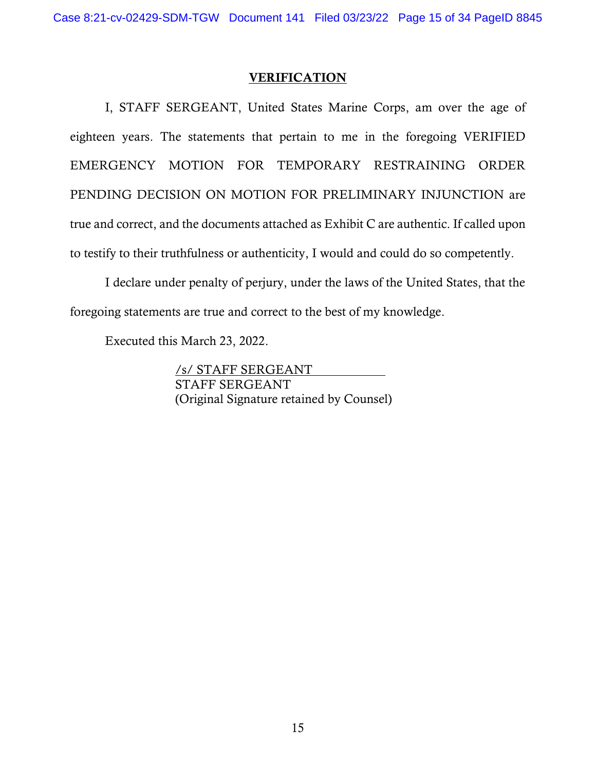I, STAFF SERGEANT, United States Marine Corps, am over the age of eighteen years. The statements that pertain to me in the foregoing VERIFIED EMERGENCY MOTION FOR TEMPORARY RESTRAINING ORDER PENDING DECISION ON MOTION FOR PRELIMINARY INJUNCTION are true and correct, and the documents attached as Exhibit C are authentic. If called upon to testify to their truthfulness or authenticity, I would and could do so competently.

I declare under penalty of perjury, under the laws of the United States, that the foregoing statements are true and correct to the best of my knowledge.

Executed this March 23, 2022.

/s/ STAFF SERGEANT STAFF SERGEANT (Original Signature retained by Counsel)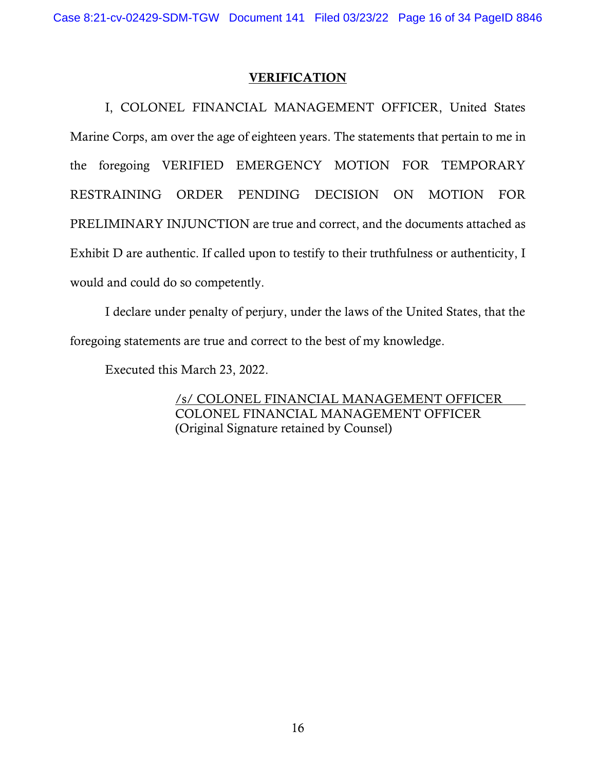I, COLONEL FINANCIAL MANAGEMENT OFFICER, United States Marine Corps, am over the age of eighteen years. The statements that pertain to me in the foregoing VERIFIED EMERGENCY MOTION FOR TEMPORARY RESTRAINING ORDER PENDING DECISION ON MOTION FOR PRELIMINARY INJUNCTION are true and correct, and the documents attached as Exhibit D are authentic. If called upon to testify to their truthfulness or authenticity, I would and could do so competently.

I declare under penalty of perjury, under the laws of the United States, that the foregoing statements are true and correct to the best of my knowledge.

Executed this March 23, 2022.

/s/ COLONEL FINANCIAL MANAGEMENT OFFICER COLONEL FINANCIAL MANAGEMENT OFFICER (Original Signature retained by Counsel)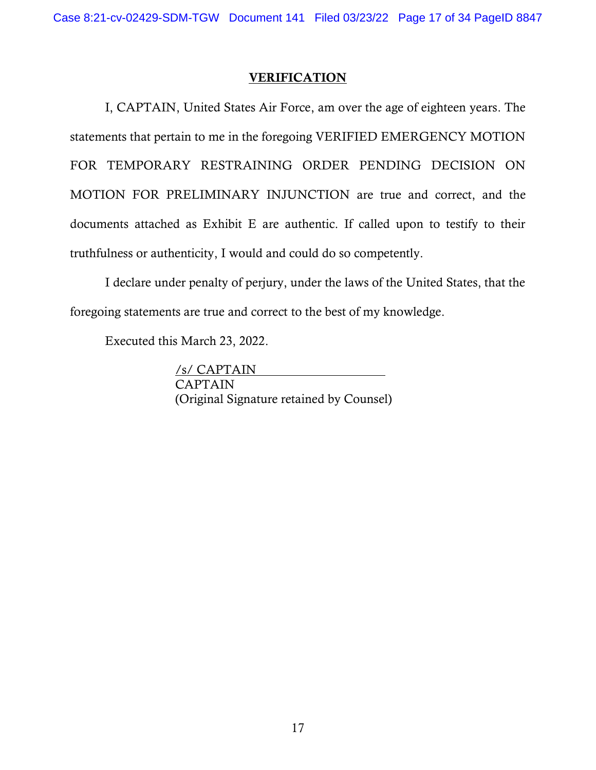I, CAPTAIN, United States Air Force, am over the age of eighteen years. The statements that pertain to me in the foregoing VERIFIED EMERGENCY MOTION FOR TEMPORARY RESTRAINING ORDER PENDING DECISION ON MOTION FOR PRELIMINARY INJUNCTION are true and correct, and the documents attached as Exhibit E are authentic. If called upon to testify to their truthfulness or authenticity, I would and could do so competently.

I declare under penalty of perjury, under the laws of the United States, that the foregoing statements are true and correct to the best of my knowledge.

Executed this March 23, 2022.

/s/ CAPTAIN CAPTAIN (Original Signature retained by Counsel)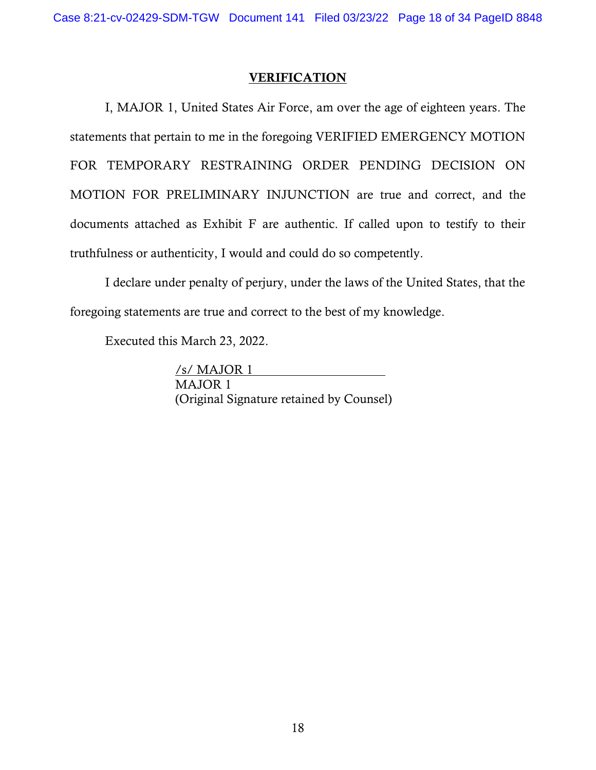I, MAJOR 1, United States Air Force, am over the age of eighteen years. The statements that pertain to me in the foregoing VERIFIED EMERGENCY MOTION FOR TEMPORARY RESTRAINING ORDER PENDING DECISION ON MOTION FOR PRELIMINARY INJUNCTION are true and correct, and the documents attached as Exhibit F are authentic. If called upon to testify to their truthfulness or authenticity, I would and could do so competently.

I declare under penalty of perjury, under the laws of the United States, that the foregoing statements are true and correct to the best of my knowledge.

Executed this March 23, 2022.

/s/ MAJOR 1 MAJOR 1 (Original Signature retained by Counsel)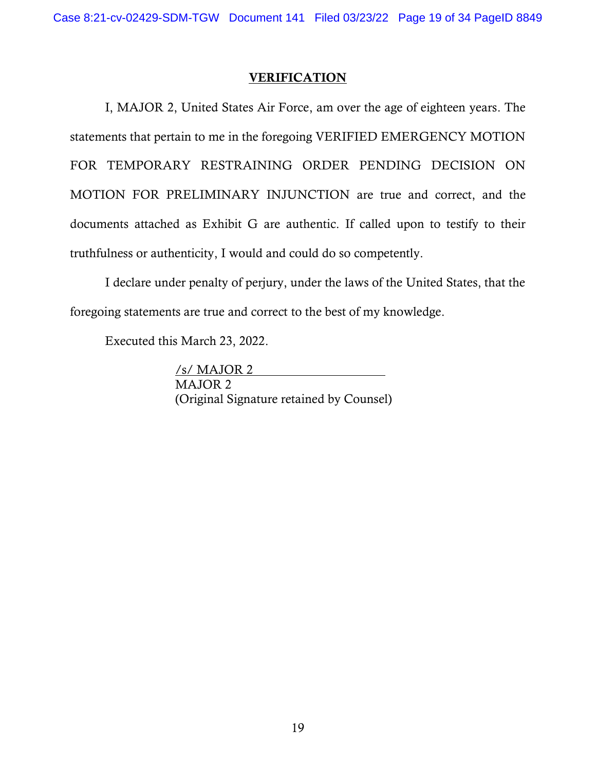I, MAJOR 2, United States Air Force, am over the age of eighteen years. The statements that pertain to me in the foregoing VERIFIED EMERGENCY MOTION FOR TEMPORARY RESTRAINING ORDER PENDING DECISION ON MOTION FOR PRELIMINARY INJUNCTION are true and correct, and the documents attached as Exhibit G are authentic. If called upon to testify to their truthfulness or authenticity, I would and could do so competently.

I declare under penalty of perjury, under the laws of the United States, that the foregoing statements are true and correct to the best of my knowledge.

Executed this March 23, 2022.

/s/ MAJOR 2 MAJOR 2 (Original Signature retained by Counsel)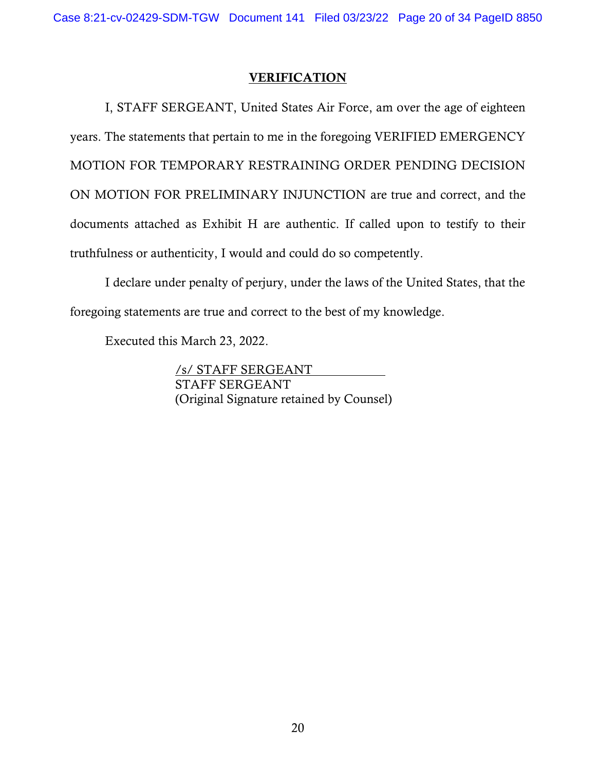I, STAFF SERGEANT, United States Air Force, am over the age of eighteen years. The statements that pertain to me in the foregoing VERIFIED EMERGENCY MOTION FOR TEMPORARY RESTRAINING ORDER PENDING DECISION ON MOTION FOR PRELIMINARY INJUNCTION are true and correct, and the documents attached as Exhibit H are authentic. If called upon to testify to their truthfulness or authenticity, I would and could do so competently.

I declare under penalty of perjury, under the laws of the United States, that the foregoing statements are true and correct to the best of my knowledge.

Executed this March 23, 2022.

/s/ STAFF SERGEANT STAFF SERGEANT (Original Signature retained by Counsel)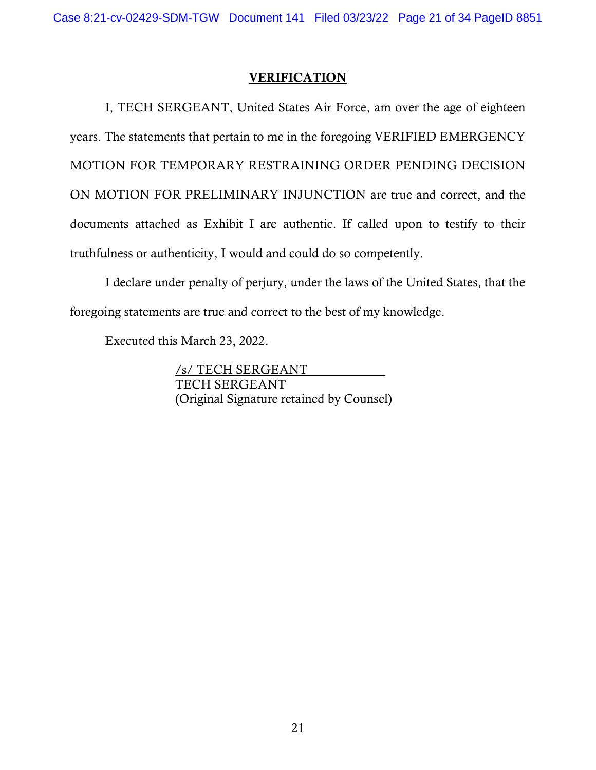I, TECH SERGEANT, United States Air Force, am over the age of eighteen years. The statements that pertain to me in the foregoing VERIFIED EMERGENCY MOTION FOR TEMPORARY RESTRAINING ORDER PENDING DECISION ON MOTION FOR PRELIMINARY INJUNCTION are true and correct, and the documents attached as Exhibit I are authentic. If called upon to testify to their truthfulness or authenticity, I would and could do so competently.

I declare under penalty of perjury, under the laws of the United States, that the foregoing statements are true and correct to the best of my knowledge.

Executed this March 23, 2022.

/s/ TECH SERGEANT TECH SERGEANT (Original Signature retained by Counsel)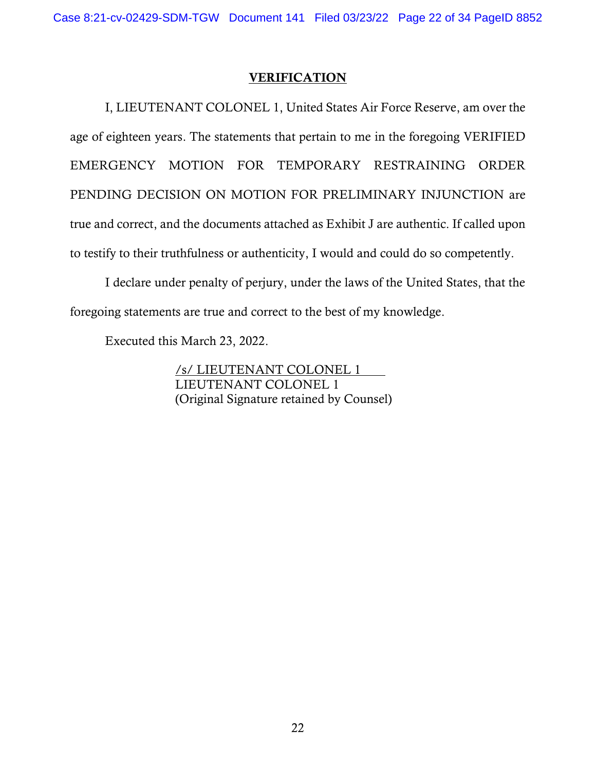I, LIEUTENANT COLONEL 1, United States Air Force Reserve, am over the age of eighteen years. The statements that pertain to me in the foregoing VERIFIED EMERGENCY MOTION FOR TEMPORARY RESTRAINING ORDER PENDING DECISION ON MOTION FOR PRELIMINARY INJUNCTION are true and correct, and the documents attached as Exhibit J are authentic. If called upon to testify to their truthfulness or authenticity, I would and could do so competently.

I declare under penalty of perjury, under the laws of the United States, that the foregoing statements are true and correct to the best of my knowledge.

Executed this March 23, 2022.

/s/ LIEUTENANT COLONEL 1 LIEUTENANT COLONEL 1 (Original Signature retained by Counsel)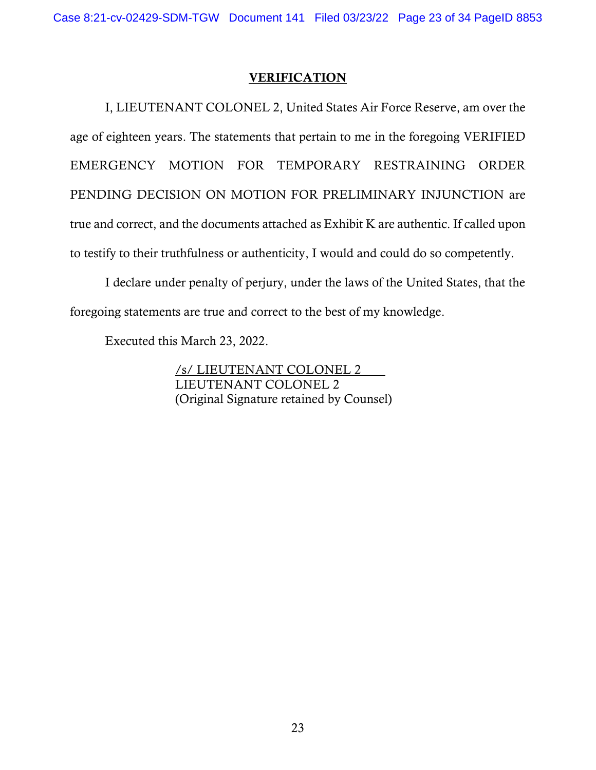I, LIEUTENANT COLONEL 2, United States Air Force Reserve, am over the age of eighteen years. The statements that pertain to me in the foregoing VERIFIED EMERGENCY MOTION FOR TEMPORARY RESTRAINING ORDER PENDING DECISION ON MOTION FOR PRELIMINARY INJUNCTION are true and correct, and the documents attached as Exhibit K are authentic. If called upon to testify to their truthfulness or authenticity, I would and could do so competently.

I declare under penalty of perjury, under the laws of the United States, that the foregoing statements are true and correct to the best of my knowledge.

Executed this March 23, 2022.

/s/ LIEUTENANT COLONEL 2 LIEUTENANT COLONEL 2 (Original Signature retained by Counsel)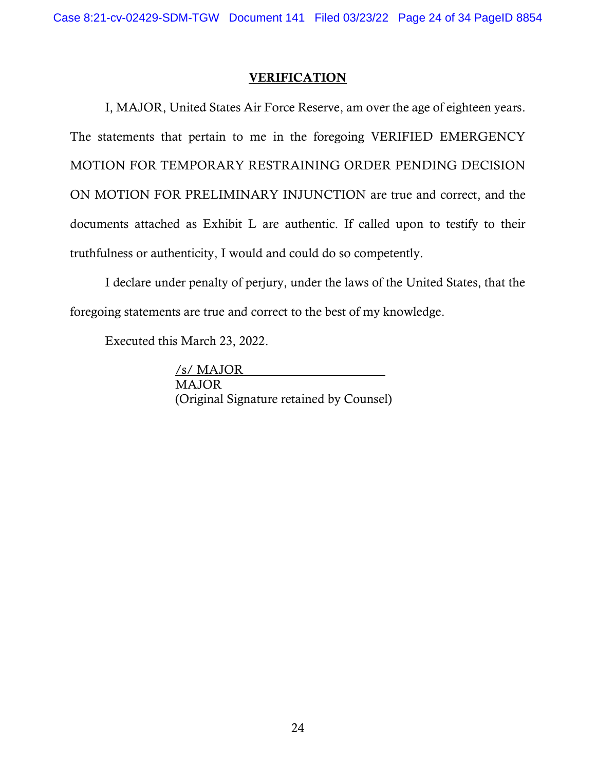I, MAJOR, United States Air Force Reserve, am over the age of eighteen years. The statements that pertain to me in the foregoing VERIFIED EMERGENCY MOTION FOR TEMPORARY RESTRAINING ORDER PENDING DECISION ON MOTION FOR PRELIMINARY INJUNCTION are true and correct, and the documents attached as Exhibit L are authentic. If called upon to testify to their truthfulness or authenticity, I would and could do so competently.

I declare under penalty of perjury, under the laws of the United States, that the foregoing statements are true and correct to the best of my knowledge.

Executed this March 23, 2022.

/s/ MAJOR MAJOR (Original Signature retained by Counsel)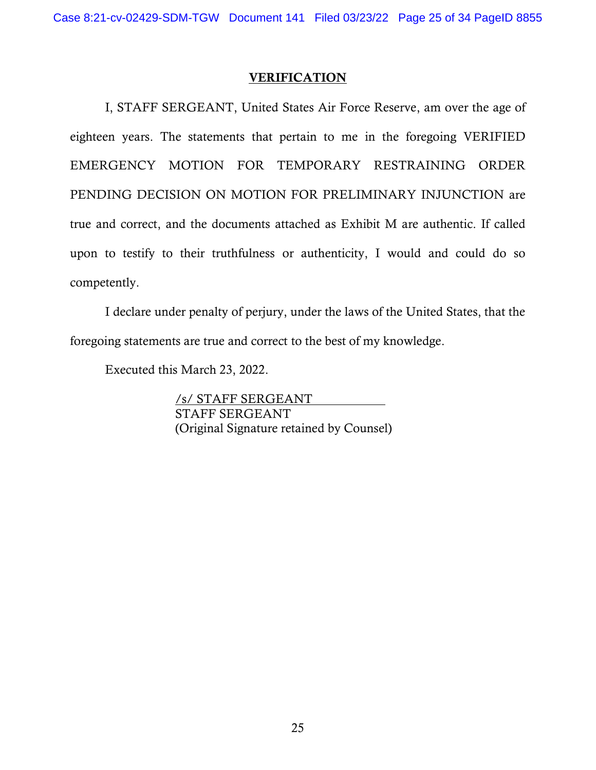I, STAFF SERGEANT, United States Air Force Reserve, am over the age of eighteen years. The statements that pertain to me in the foregoing VERIFIED EMERGENCY MOTION FOR TEMPORARY RESTRAINING ORDER PENDING DECISION ON MOTION FOR PRELIMINARY INJUNCTION are true and correct, and the documents attached as Exhibit M are authentic. If called upon to testify to their truthfulness or authenticity, I would and could do so competently.

I declare under penalty of perjury, under the laws of the United States, that the foregoing statements are true and correct to the best of my knowledge.

Executed this March 23, 2022.

/s/ STAFF SERGEANT STAFF SERGEANT (Original Signature retained by Counsel)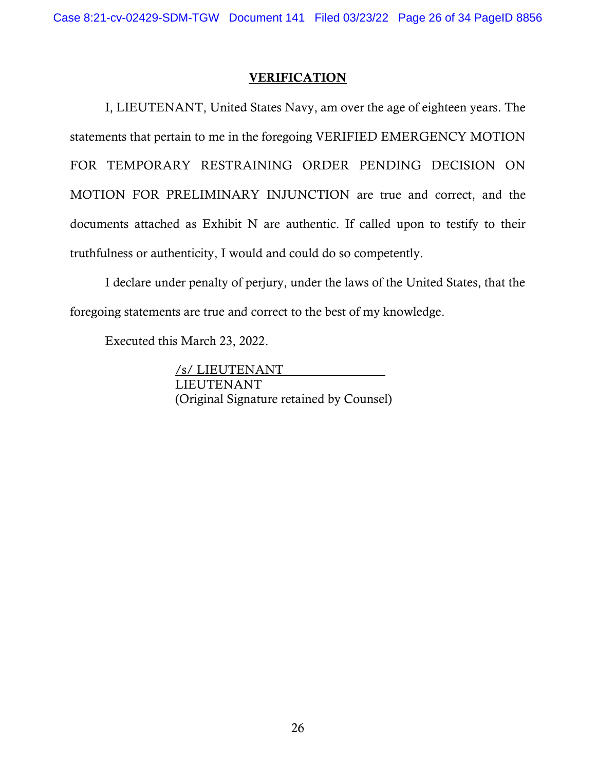I, LIEUTENANT, United States Navy, am over the age of eighteen years. The statements that pertain to me in the foregoing VERIFIED EMERGENCY MOTION FOR TEMPORARY RESTRAINING ORDER PENDING DECISION ON MOTION FOR PRELIMINARY INJUNCTION are true and correct, and the documents attached as Exhibit N are authentic. If called upon to testify to their truthfulness or authenticity, I would and could do so competently.

I declare under penalty of perjury, under the laws of the United States, that the foregoing statements are true and correct to the best of my knowledge.

Executed this March 23, 2022.

/s/ LIEUTENANT LIEUTENANT (Original Signature retained by Counsel)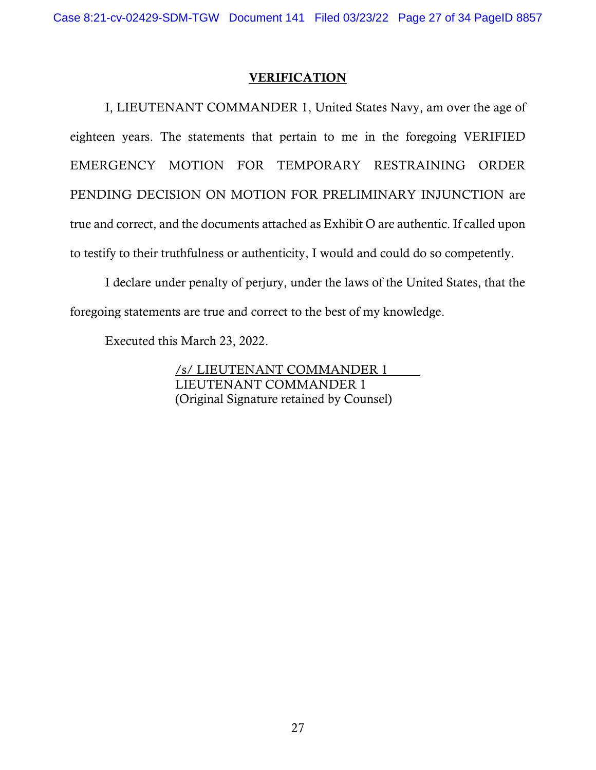I, LIEUTENANT COMMANDER 1, United States Navy, am over the age of eighteen years. The statements that pertain to me in the foregoing VERIFIED EMERGENCY MOTION FOR TEMPORARY RESTRAINING ORDER PENDING DECISION ON MOTION FOR PRELIMINARY INJUNCTION are true and correct, and the documents attached as Exhibit O are authentic. If called upon to testify to their truthfulness or authenticity, I would and could do so competently.

I declare under penalty of perjury, under the laws of the United States, that the foregoing statements are true and correct to the best of my knowledge.

Executed this March 23, 2022.

/s/ LIEUTENANT COMMANDER 1 LIEUTENANT COMMANDER 1 (Original Signature retained by Counsel)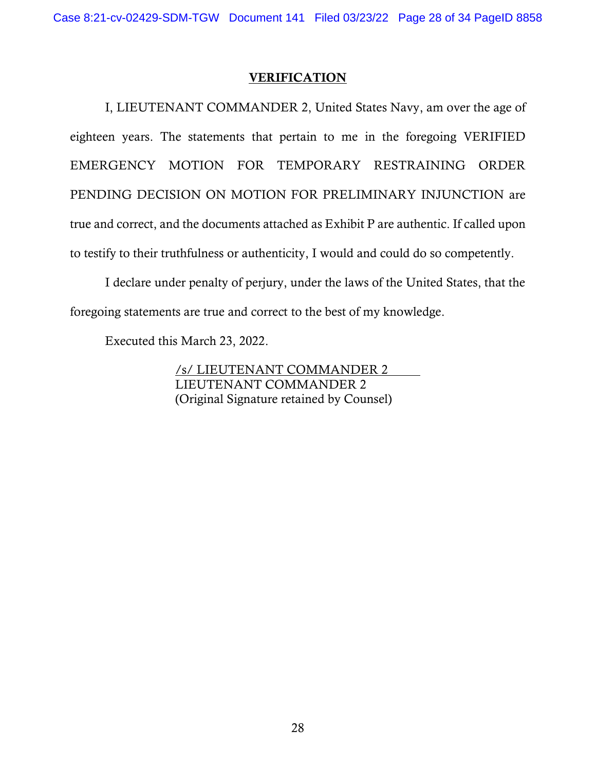I, LIEUTENANT COMMANDER 2, United States Navy, am over the age of eighteen years. The statements that pertain to me in the foregoing VERIFIED EMERGENCY MOTION FOR TEMPORARY RESTRAINING ORDER PENDING DECISION ON MOTION FOR PRELIMINARY INJUNCTION are true and correct, and the documents attached as Exhibit P are authentic. If called upon to testify to their truthfulness or authenticity, I would and could do so competently.

I declare under penalty of perjury, under the laws of the United States, that the foregoing statements are true and correct to the best of my knowledge.

Executed this March 23, 2022.

/s/ LIEUTENANT COMMANDER 2 LIEUTENANT COMMANDER 2 (Original Signature retained by Counsel)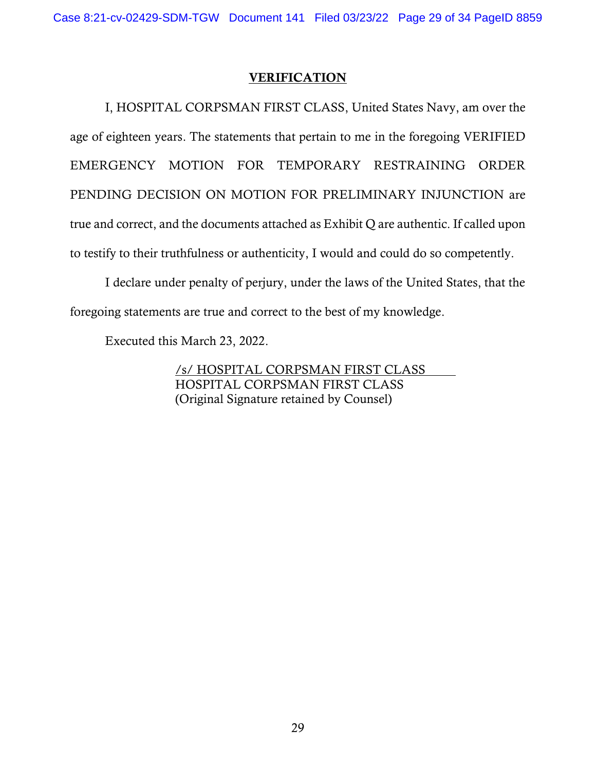I, HOSPITAL CORPSMAN FIRST CLASS, United States Navy, am over the age of eighteen years. The statements that pertain to me in the foregoing VERIFIED EMERGENCY MOTION FOR TEMPORARY RESTRAINING ORDER PENDING DECISION ON MOTION FOR PRELIMINARY INJUNCTION are true and correct, and the documents attached as Exhibit Q are authentic. If called upon to testify to their truthfulness or authenticity, I would and could do so competently.

I declare under penalty of perjury, under the laws of the United States, that the foregoing statements are true and correct to the best of my knowledge.

Executed this March 23, 2022.

/s/ HOSPITAL CORPSMAN FIRST CLASS HOSPITAL CORPSMAN FIRST CLASS (Original Signature retained by Counsel)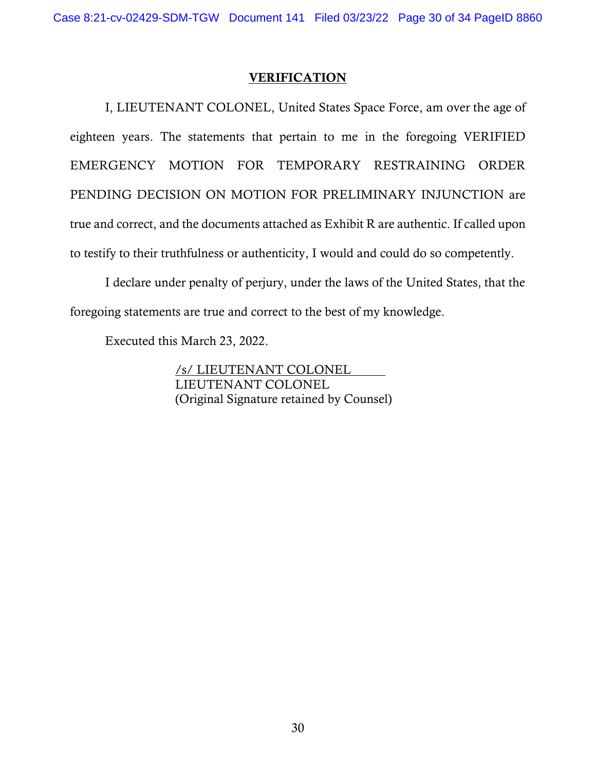I, LIEUTENANT COLONEL, United States Space Force, am over the age of eighteen years. The statements that pertain to me in the foregoing VERIFIED EMERGENCY MOTION FOR TEMPORARY RESTRAINING ORDER PENDING DECISION ON MOTION FOR PRELIMINARY INJUNCTION are true and correct, and the documents attached as Exhibit R are authentic. If called upon to testify to their truthfulness or authenticity, I would and could do so competently.

I declare under penalty of perjury, under the laws of the United States, that the foregoing statements are true and correct to the best of my knowledge.

Executed this March 23, 2022.

/s/ LIEUTENANT COLONEL LIEUTENANT COLONEL (Original Signature retained by Counsel)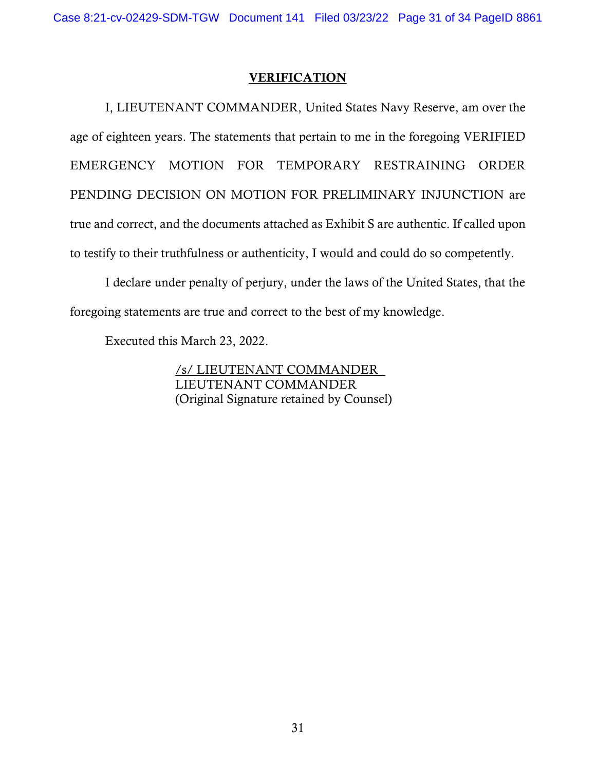I, LIEUTENANT COMMANDER, United States Navy Reserve, am over the age of eighteen years. The statements that pertain to me in the foregoing VERIFIED EMERGENCY MOTION FOR TEMPORARY RESTRAINING ORDER PENDING DECISION ON MOTION FOR PRELIMINARY INJUNCTION are true and correct, and the documents attached as Exhibit S are authentic. If called upon to testify to their truthfulness or authenticity, I would and could do so competently.

I declare under penalty of perjury, under the laws of the United States, that the foregoing statements are true and correct to the best of my knowledge.

Executed this March 23, 2022.

/s/ LIEUTENANT COMMANDER LIEUTENANT COMMANDER (Original Signature retained by Counsel)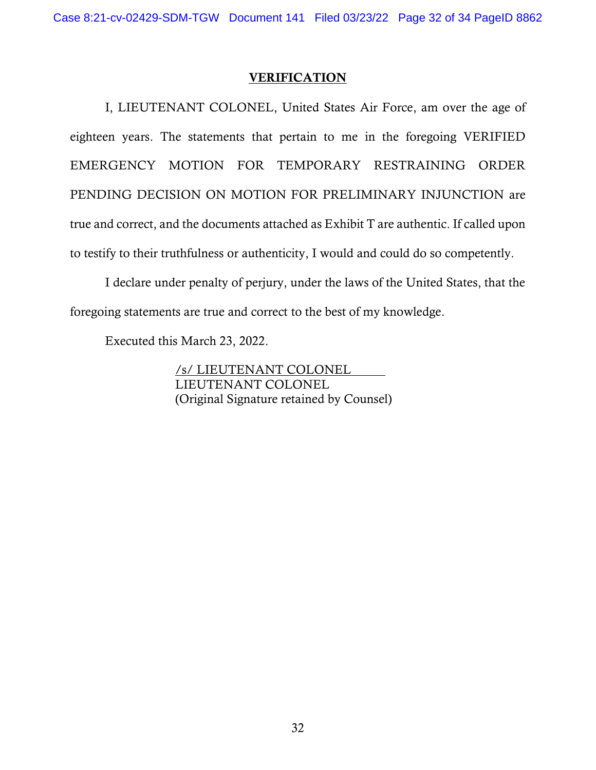I, LIEUTENANT COLONEL, United States Air Force, am over the age of eighteen years. The statements that pertain to me in the foregoing VERIFIED EMERGENCY MOTION FOR TEMPORARY RESTRAINING ORDER PENDING DECISION ON MOTION FOR PRELIMINARY INJUNCTION are true and correct, and the documents attached as Exhibit T are authentic. If called upon to testify to their truthfulness or authenticity, I would and could do so competently.

I declare under penalty of perjury, under the laws of the United States, that the foregoing statements are true and correct to the best of my knowledge.

Executed this March 23, 2022.

/s/ LIEUTENANT COLONEL LIEUTENANT COLONEL (Original Signature retained by Counsel)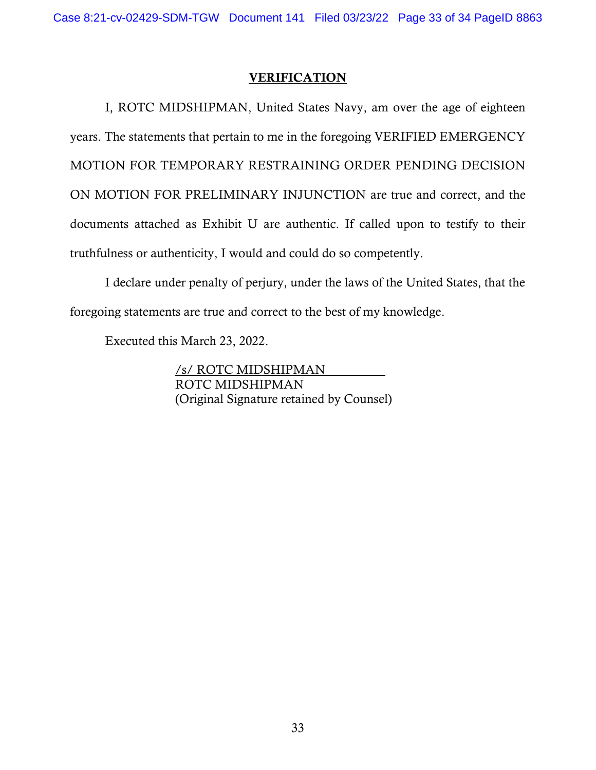I, ROTC MIDSHIPMAN, United States Navy, am over the age of eighteen years. The statements that pertain to me in the foregoing VERIFIED EMERGENCY MOTION FOR TEMPORARY RESTRAINING ORDER PENDING DECISION ON MOTION FOR PRELIMINARY INJUNCTION are true and correct, and the documents attached as Exhibit U are authentic. If called upon to testify to their truthfulness or authenticity, I would and could do so competently.

I declare under penalty of perjury, under the laws of the United States, that the foregoing statements are true and correct to the best of my knowledge.

Executed this March 23, 2022.

/s/ ROTC MIDSHIPMAN ROTC MIDSHIPMAN (Original Signature retained by Counsel)